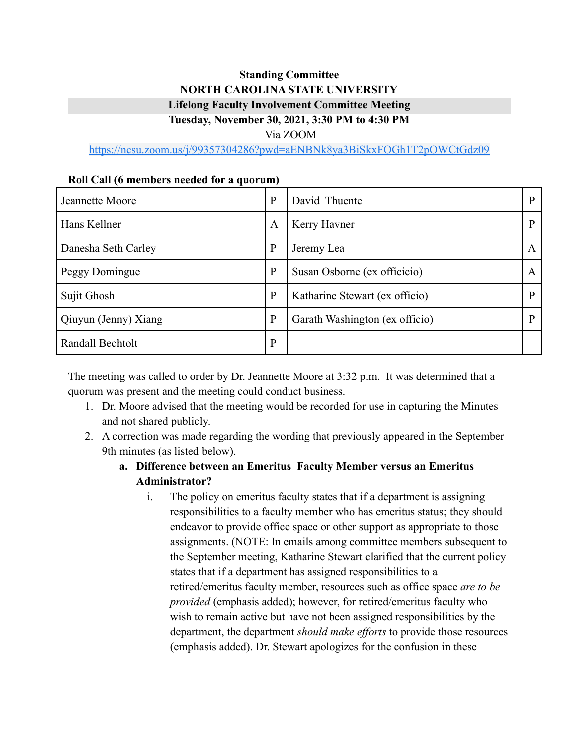# **Standing Committee NORTH CAROLINA STATE UNIVERSITY Lifelong Faculty Involvement Committee Meeting Tuesday, November 30, 2021, 3:30 PM to 4:30 PM**

Via ZOOM

<https://ncsu.zoom.us/j/99357304286?pwd=aENBNk8ya3BiSkxFOGh1T2pOWCtGdz09>

| <u>ival can to members necacu for a quorum)</u> |              |                                |              |
|-------------------------------------------------|--------------|--------------------------------|--------------|
| Jeannette Moore                                 | $\mathbf{P}$ | David Thuente                  | P            |
| Hans Kellner                                    | A            | Kerry Havner                   | P            |
| Danesha Seth Carley                             | $\mathbf{P}$ | Jeremy Lea                     | $\mathsf{A}$ |
| Peggy Domingue                                  | $\mathbf{P}$ | Susan Osborne (ex officicio)   | A            |
| Sujit Ghosh                                     | $\mathbf{P}$ | Katharine Stewart (ex officio) | $\mathbf{P}$ |
| Qiuyun (Jenny) Xiang                            | P            | Garath Washington (ex officio) | P            |
| Randall Bechtolt                                | P            |                                |              |

#### **Roll Call (6 members needed for a quorum)**

The meeting was called to order by Dr. Jeannette Moore at 3:32 p.m. It was determined that a quorum was present and the meeting could conduct business.

- 1. Dr. Moore advised that the meeting would be recorded for use in capturing the Minutes and not shared publicly.
- 2. A correction was made regarding the wording that previously appeared in the September 9th minutes (as listed below).
	- **a. Difference between an Emeritus Faculty Member versus an Emeritus Administrator?**
		- i. The policy on emeritus faculty states that if a department is assigning responsibilities to a faculty member who has emeritus status; they should endeavor to provide office space or other support as appropriate to those assignments. (NOTE: In emails among committee members subsequent to the September meeting, Katharine Stewart clarified that the current policy states that if a department has assigned responsibilities to a retired/emeritus faculty member, resources such as office space *are to be provided* (emphasis added); however, for retired/emeritus faculty who wish to remain active but have not been assigned responsibilities by the department, the department *should make efforts* to provide those resources (emphasis added). Dr. Stewart apologizes for the confusion in these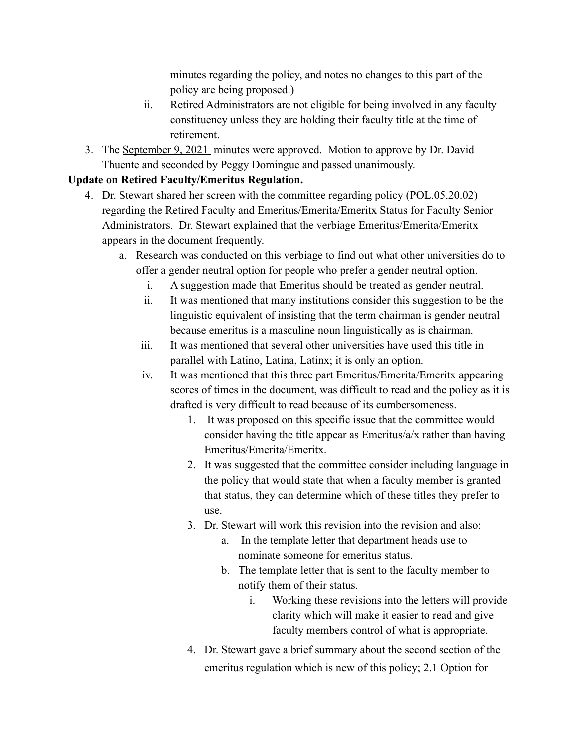minutes regarding the policy, and notes no changes to this part of the policy are being proposed.)

- ii. Retired Administrators are not eligible for being involved in any faculty constituency unless they are holding their faculty title at the time of retirement.
- 3. The [September 9, 2021](https://bit.ly/3ljYGsm) minutes were approved. Motion to approve by Dr. David Thuente and seconded by Peggy Domingue and passed unanimously.

## **Update on Retired Faculty/Emeritus Regulation.**

- 4. Dr. Stewart shared her screen with the committee regarding policy (POL.05.20.02) regarding the Retired Faculty and Emeritus/Emerita/Emeritx Status for Faculty Senior Administrators. Dr. Stewart explained that the verbiage Emeritus/Emerita/Emeritx appears in the document frequently.
	- a. Research was conducted on this verbiage to find out what other universities do to offer a gender neutral option for people who prefer a gender neutral option.
		- i. A suggestion made that Emeritus should be treated as gender neutral.
		- ii. It was mentioned that many institutions consider this suggestion to be the linguistic equivalent of insisting that the term chairman is gender neutral because emeritus is a masculine noun linguistically as is chairman.
		- iii. It was mentioned that several other universities have used this title in parallel with Latino, Latina, Latinx; it is only an option.
		- iv. It was mentioned that this three part Emeritus/Emerita/Emeritx appearing scores of times in the document, was difficult to read and the policy as it is drafted is very difficult to read because of its cumbersomeness.
			- 1. It was proposed on this specific issue that the committee would consider having the title appear as Emeritus/a/x rather than having Emeritus/Emerita/Emeritx.
			- 2. It was suggested that the committee consider including language in the policy that would state that when a faculty member is granted that status, they can determine which of these titles they prefer to use.
			- 3. Dr. Stewart will work this revision into the revision and also:
				- a. In the template letter that department heads use to nominate someone for emeritus status.
				- b. The template letter that is sent to the faculty member to notify them of their status.
					- i. Working these revisions into the letters will provide clarity which will make it easier to read and give faculty members control of what is appropriate.
			- 4. Dr. Stewart gave a brief summary about the second section of the emeritus regulation which is new of this policy; 2.1 Option for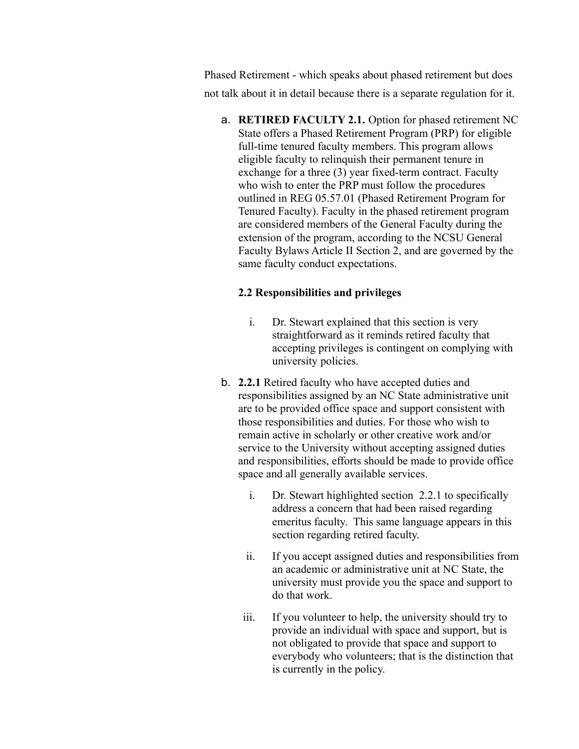Phased Retirement - which speaks about phased retirement but does not talk about it in detail because there is a separate regulation for it.

a. **RETIRED FACULTY 2.1.** Option for phased retirement NC State offers a Phased Retirement Program (PRP) for eligible full-time tenured faculty members. This program allows eligible faculty to relinquish their permanent tenure in exchange for a three (3) year fixed-term contract. Faculty who wish to enter the PRP must follow the procedures outlined in REG 05.57.01 (Phased Retirement Program for Tenured Faculty). Faculty in the phased retirement program are considered members of the General Faculty during the extension of the program, according to the NCSU General Faculty Bylaws Article II Section 2, and are governed by the same faculty conduct expectations.

#### **2.2 Responsibilities and privileges**

- i. Dr. Stewart explained that this section is very straightforward as it reminds retired faculty that accepting privileges is contingent on complying with university policies.
- b. **2.2.1** Retired faculty who have accepted duties and responsibilities assigned by an NC State administrative unit are to be provided office space and support consistent with those responsibilities and duties. For those who wish to remain active in scholarly or other creative work and/or service to the University without accepting assigned duties and responsibilities, efforts should be made to provide office space and all generally available services.
	- i. Dr. Stewart highlighted section 2.2.1 to specifically address a concern that had been raised regarding emeritus faculty. This same language appears in this section regarding retired faculty.
	- ii. If you accept assigned duties and responsibilities from an academic or administrative unit at NC State, the university must provide you the space and support to do that work.
	- iii. If you volunteer to help, the university should try to provide an individual with space and support, but is not obligated to provide that space and support to everybody who volunteers; that is the distinction that is currently in the policy.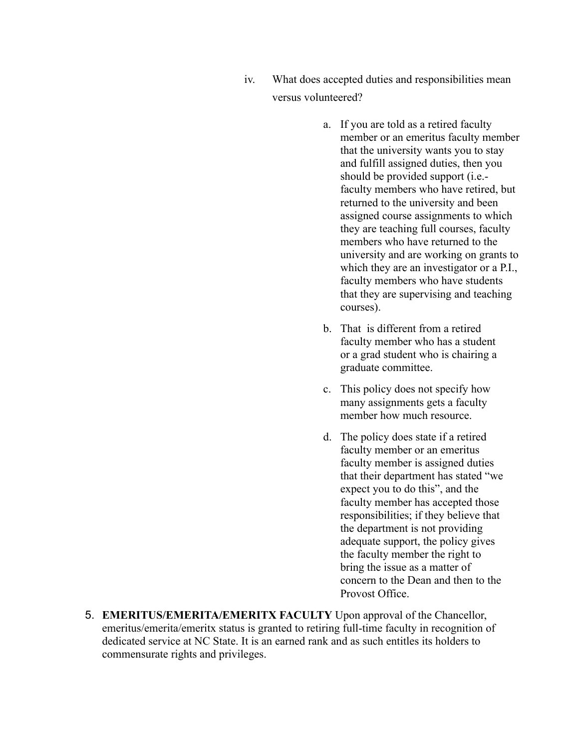- iv. What does accepted duties and responsibilities mean versus volunteered?
	- a. If you are told as a retired faculty member or an emeritus faculty member that the university wants you to stay and fulfill assigned duties, then you should be provided support (i.e. faculty members who have retired, but returned to the university and been assigned course assignments to which they are teaching full courses, faculty members who have returned to the university and are working on grants to which they are an investigator or a P.I., faculty members who have students that they are supervising and teaching courses).
	- b. That is different from a retired faculty member who has a student or a grad student who is chairing a graduate committee.
	- c. This policy does not specify how many assignments gets a faculty member how much resource.
	- d. The policy does state if a retired faculty member or an emeritus faculty member is assigned duties that their department has stated "we expect you to do this", and the faculty member has accepted those responsibilities; if they believe that the department is not providing adequate support, the policy gives the faculty member the right to bring the issue as a matter of concern to the Dean and then to the Provost Office.
- 5. **EMERITUS/EMERITA/EMERITX FACULTY** Upon approval of the Chancellor, emeritus/emerita/emeritx status is granted to retiring full-time faculty in recognition of dedicated service at NC State. It is an earned rank and as such entitles its holders to commensurate rights and privileges.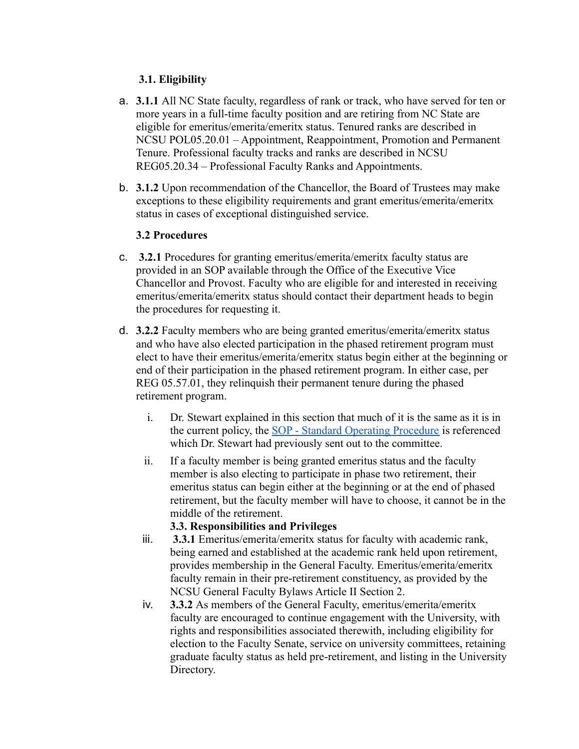## **3.1. Eligibility**

- a. **3.1.1** All NC State faculty, regardless of rank or track, who have served for ten or more years in a full-time faculty position and are retiring from NC State are eligible for emeritus/emerita/emeritx status. Tenured ranks are described in NCSU POL05.20.01 – Appointment, Reappointment, Promotion and Permanent Tenure. Professional faculty tracks and ranks are described in NCSU REG05.20.34 – Professional Faculty Ranks and Appointments.
- b. **3.1.2** Upon recommendation of the Chancellor, the Board of Trustees may make exceptions to these eligibility requirements and grant emeritus/emerita/emeritx status in cases of exceptional distinguished service.

#### **3.2 Procedures**

- c. **3.2.1** Procedures for granting emeritus/emerita/emeritx faculty status are provided in an SOP available through the Office of the Executive Vice Chancellor and Provost. Faculty who are eligible for and interested in receiving emeritus/emerita/emeritx status should contact their department heads to begin the procedures for requesting it.
- d. **3.2.2** Faculty members who are being granted emeritus/emerita/emeritx status and who have also elected participation in the phased retirement program must elect to have their emeritus/emerita/emeritx status begin either at the beginning or end of their participation in the phased retirement program. In either case, per REG 05.57.01, they relinquish their permanent tenure during the phased retirement program.
	- i. Dr. Stewart explained in this section that much of it is the same as it is in the current policy, the [SOP - Standard Operating Procedure](https://bit.ly/33drCfR) is referenced which Dr. Stewart had previously sent out to the committee.
	- ii. If a faculty member is being granted emeritus status and the faculty member is also electing to participate in phase two retirement, their emeritus status can begin either at the beginning or at the end of phased retirement, but the faculty member will have to choose, it cannot be in the middle of the retirement.

## **3.3. Responsibilities and Privileges**

- iii. **3.3.1** Emeritus/emerita/emeritx status for faculty with academic rank, being earned and established at the academic rank held upon retirement, provides membership in the General Faculty. Emeritus/emerita/emeritx faculty remain in their pre-retirement constituency, as provided by the NCSU General Faculty Bylaws Article II Section 2.
- iv. **3.3.2** As members of the General Faculty, emeritus/emerita/emeritx faculty are encouraged to continue engagement with the University, with rights and responsibilities associated therewith, including eligibility for election to the Faculty Senate, service on university committees, retaining graduate faculty status as held pre-retirement, and listing in the University Directory.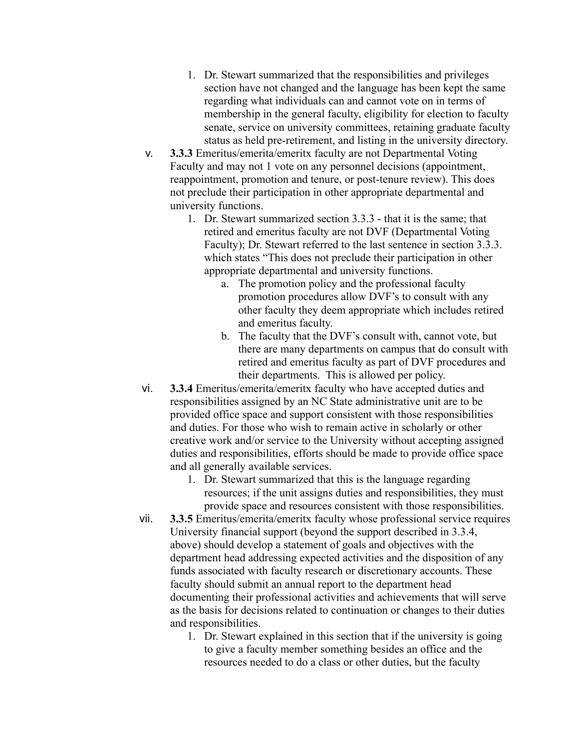- 1. Dr. Stewart summarized that the responsibilities and privileges section have not changed and the language has been kept the same regarding what individuals can and cannot vote on in terms of membership in the general faculty, eligibility for election to faculty senate, service on university committees, retaining graduate faculty status as held pre-retirement, and listing in the university directory.
- v. **3.3.3** Emeritus/emerita/emeritx faculty are not Departmental Voting Faculty and may not 1 vote on any personnel decisions (appointment, reappointment, promotion and tenure, or post-tenure review). This does not preclude their participation in other appropriate departmental and university functions.
	- 1. Dr. Stewart summarized section 3.3.3 that it is the same; that retired and emeritus faculty are not DVF (Departmental Voting Faculty); Dr. Stewart referred to the last sentence in section 3.3.3. which states "This does not preclude their participation in other appropriate departmental and university functions.
		- a. The promotion policy and the professional faculty promotion procedures allow DVF's to consult with any other faculty they deem appropriate which includes retired and emeritus faculty.
		- b. The faculty that the DVF's consult with, cannot vote, but there are many departments on campus that do consult with retired and emeritus faculty as part of DVF procedures and their departments. This is allowed per policy.
- vi. **3.3.4** Emeritus/emerita/emeritx faculty who have accepted duties and responsibilities assigned by an NC State administrative unit are to be provided office space and support consistent with those responsibilities and duties. For those who wish to remain active in scholarly or other creative work and/or service to the University without accepting assigned duties and responsibilities, efforts should be made to provide office space and all generally available services.
	- 1. Dr. Stewart summarized that this is the language regarding resources; if the unit assigns duties and responsibilities, they must provide space and resources consistent with those responsibilities.
- vii. **3.3.5** Emeritus/emerita/emeritx faculty whose professional service requires University financial support (beyond the support described in 3.3.4, above) should develop a statement of goals and objectives with the department head addressing expected activities and the disposition of any funds associated with faculty research or discretionary accounts. These faculty should submit an annual report to the department head documenting their professional activities and achievements that will serve as the basis for decisions related to continuation or changes to their duties and responsibilities.
	- 1. Dr. Stewart explained in this section that if the university is going to give a faculty member something besides an office and the resources needed to do a class or other duties, but the faculty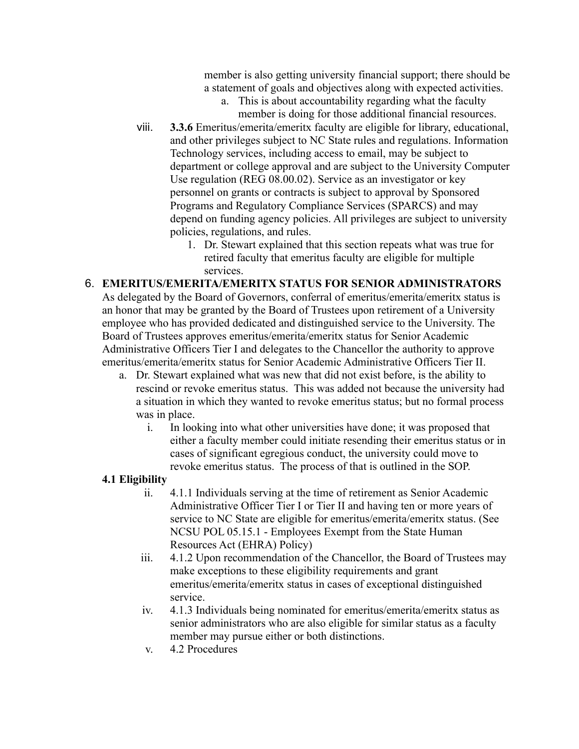member is also getting university financial support; there should be a statement of goals and objectives along with expected activities.

- a. This is about accountability regarding what the faculty member is doing for those additional financial resources.
- viii. **3.3.6** Emeritus/emerita/emeritx faculty are eligible for library, educational, and other privileges subject to NC State rules and regulations. Information Technology services, including access to email, may be subject to department or college approval and are subject to the University Computer Use regulation (REG 08.00.02). Service as an investigator or key personnel on grants or contracts is subject to approval by Sponsored Programs and Regulatory Compliance Services (SPARCS) and may depend on funding agency policies. All privileges are subject to university policies, regulations, and rules.
	- 1. Dr. Stewart explained that this section repeats what was true for retired faculty that emeritus faculty are eligible for multiple services.
- 6. **EMERITUS/EMERITA/EMERITX STATUS FOR SENIOR ADMINISTRATORS** As delegated by the Board of Governors, conferral of emeritus/emerita/emeritx status is an honor that may be granted by the Board of Trustees upon retirement of a University employee who has provided dedicated and distinguished service to the University. The Board of Trustees approves emeritus/emerita/emeritx status for Senior Academic Administrative Officers Tier I and delegates to the Chancellor the authority to approve emeritus/emerita/emeritx status for Senior Academic Administrative Officers Tier II.
	- a. Dr. Stewart explained what was new that did not exist before, is the ability to rescind or revoke emeritus status. This was added not because the university had a situation in which they wanted to revoke emeritus status; but no formal process was in place.
		- i. In looking into what other universities have done; it was proposed that either a faculty member could initiate resending their emeritus status or in cases of significant egregious conduct, the university could move to revoke emeritus status. The process of that is outlined in the SOP.

## **4.1 Eligibility**

- ii. 4.1.1 Individuals serving at the time of retirement as Senior Academic Administrative Officer Tier I or Tier II and having ten or more years of service to NC State are eligible for emeritus/emerita/emeritx status. (See NCSU POL 05.15.1 - Employees Exempt from the State Human Resources Act (EHRA) Policy)
- iii. 4.1.2 Upon recommendation of the Chancellor, the Board of Trustees may make exceptions to these eligibility requirements and grant emeritus/emerita/emeritx status in cases of exceptional distinguished service.
- iv. 4.1.3 Individuals being nominated for emeritus/emerita/emeritx status as senior administrators who are also eligible for similar status as a faculty member may pursue either or both distinctions.
- v. 4.2 Procedures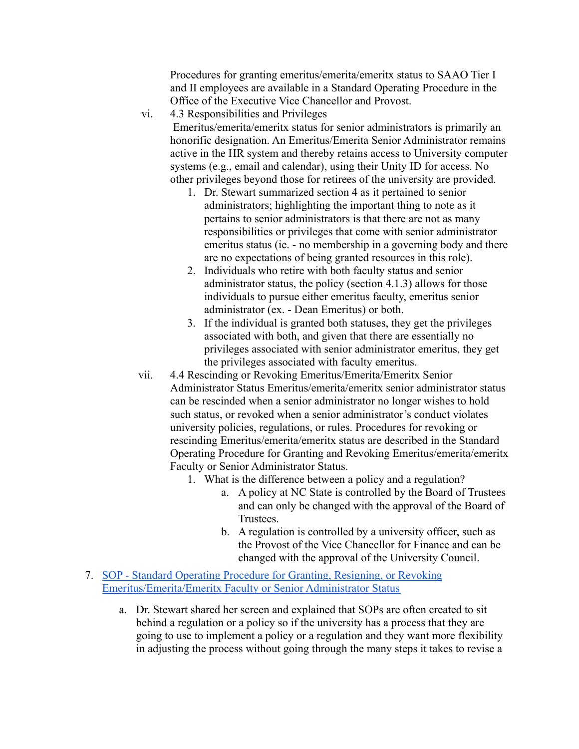Procedures for granting emeritus/emerita/emeritx status to SAAO Tier I and II employees are available in a Standard Operating Procedure in the Office of the Executive Vice Chancellor and Provost.

vi. 4.3 Responsibilities and Privileges

Emeritus/emerita/emeritx status for senior administrators is primarily an honorific designation. An Emeritus/Emerita Senior Administrator remains active in the HR system and thereby retains access to University computer systems (e.g., email and calendar), using their Unity ID for access. No other privileges beyond those for retirees of the university are provided.

- 1. Dr. Stewart summarized section 4 as it pertained to senior administrators; highlighting the important thing to note as it pertains to senior administrators is that there are not as many responsibilities or privileges that come with senior administrator emeritus status (ie. - no membership in a governing body and there are no expectations of being granted resources in this role).
- 2. Individuals who retire with both faculty status and senior administrator status, the policy (section 4.1.3) allows for those individuals to pursue either emeritus faculty, emeritus senior administrator (ex. - Dean Emeritus) or both.
- 3. If the individual is granted both statuses, they get the privileges associated with both, and given that there are essentially no privileges associated with senior administrator emeritus, they get the privileges associated with faculty emeritus.
- vii. 4.4 Rescinding or Revoking Emeritus/Emerita/Emeritx Senior Administrator Status Emeritus/emerita/emeritx senior administrator status can be rescinded when a senior administrator no longer wishes to hold such status, or revoked when a senior administrator's conduct violates university policies, regulations, or rules. Procedures for revoking or rescinding Emeritus/emerita/emeritx status are described in the Standard Operating Procedure for Granting and Revoking Emeritus/emerita/emeritx Faculty or Senior Administrator Status.
	- 1. What is the difference between a policy and a regulation?
		- a. A policy at NC State is controlled by the Board of Trustees and can only be changed with the approval of the Board of Trustees.
		- b. A regulation is controlled by a university officer, such as the Provost of the Vice Chancellor for Finance and can be changed with the approval of the University Council.
- 7. [SOP Standard Operating Procedure for Granting, Resigning, or Revoking](https://bit.ly/33drCfR) [Emeritus/Emerita/Emeritx Faculty or Senior Administrator Status](https://bit.ly/33drCfR)
	- a. Dr. Stewart shared her screen and explained that SOPs are often created to sit behind a regulation or a policy so if the university has a process that they are going to use to implement a policy or a regulation and they want more flexibility in adjusting the process without going through the many steps it takes to revise a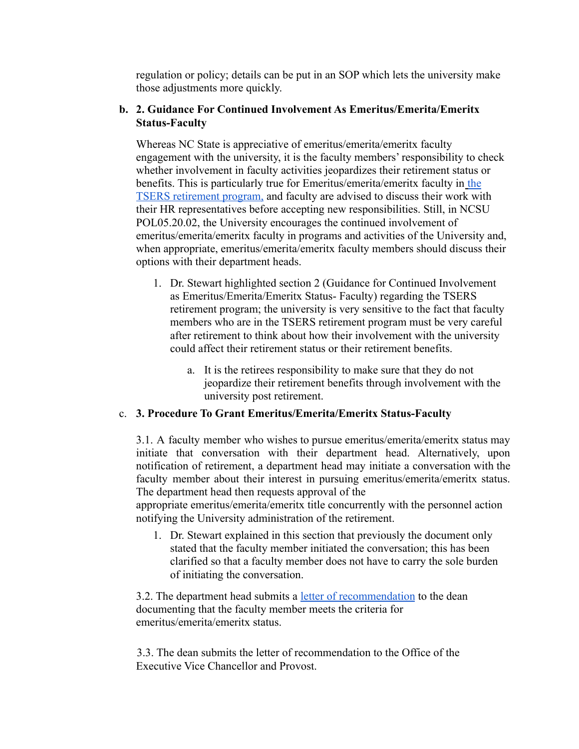regulation or policy; details can be put in an SOP which lets the university make those adjustments more quickly.

#### **b. 2. Guidance For Continued Involvement As Emeritus/Emerita/Emeritx Status-Faculty**

Whereas NC State is appreciative of emeritus/emerita/emeritx faculty engagement with the university, it is the faculty members' responsibility to check whether involvement in faculty activities jeopardizes their retirement status or benefits. This is particularly true for Emeritus/emerita/emeritx faculty in the TSERS retirement program, and faculty are advised to discuss their work with their HR representatives before accepting new responsibilities. Still, in NCSU POL05.20.02, the University encourages the continued involvement of emeritus/emerita/emeritx faculty in programs and activities of the University and, when appropriate, emeritus/emerita/emeritx faculty members should discuss their options with their department heads.

- 1. Dr. Stewart highlighted section 2 (Guidance for Continued Involvement as Emeritus/Emerita/Emeritx Status- Faculty) regarding the TSERS retirement program; the university is very sensitive to the fact that faculty members who are in the TSERS retirement program must be very careful after retirement to think about how their involvement with the university could affect their retirement status or their retirement benefits.
	- a. It is the retirees responsibility to make sure that they do not jeopardize their retirement benefits through involvement with the university post retirement.

## c. **3. Procedure To Grant Emeritus/Emerita/Emeritx Status-Faculty**

3.1. A faculty member who wishes to pursue emeritus/emerita/emeritx status may initiate that conversation with their department head. Alternatively, upon notification of retirement, a department head may initiate a conversation with the faculty member about their interest in pursuing emeritus/emerita/emeritx status. The department head then requests approval of the

appropriate emeritus/emerita/emeritx title concurrently with the personnel action notifying the University administration of the retirement.

1. Dr. Stewart explained in this section that previously the document only stated that the faculty member initiated the conversation; this has been clarified so that a faculty member does not have to carry the sole burden of initiating the conversation.

3.2. The department head submits a <u>letter of recommendation</u> to the dean documenting that the faculty member meets the criteria for emeritus/emerita/emeritx status.

3.3. The dean submits the letter of recommendation to the Office of the Executive Vice Chancellor and Provost.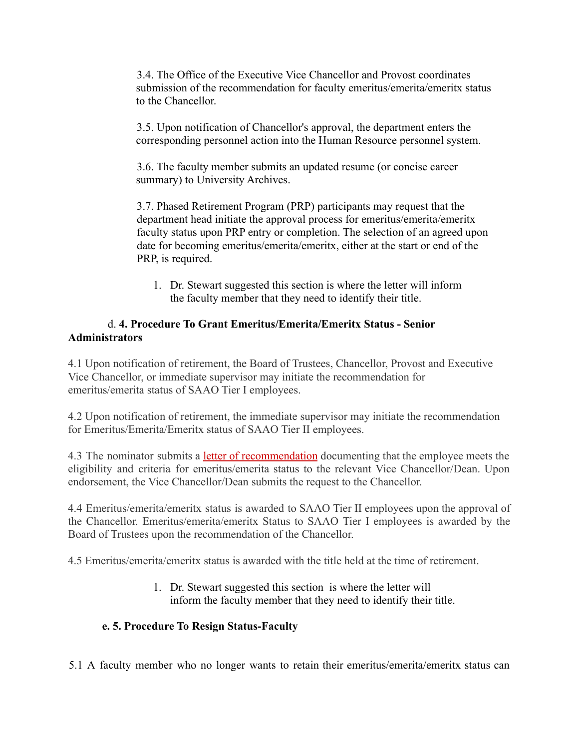3.4. The Office of the Executive Vice Chancellor and Provost coordinates submission of the recommendation for faculty emeritus/emerita/emeritx status to the Chancellor.

3.5. Upon notification of Chancellor's approval, the department enters the corresponding personnel action into the Human Resource personnel system.

3.6. The faculty member submits an updated resume (or concise career summary) to University Archives.

3.7. Phased Retirement Program (PRP) participants may request that the department head initiate the approval process for emeritus/emerita/emeritx faculty status upon PRP entry or completion. The selection of an agreed upon date for becoming emeritus/emerita/emeritx, either at the start or end of the PRP, is required.

1. Dr. Stewart suggested this section is where the letter will inform the faculty member that they need to identify their title.

## d. **4. Procedure To Grant Emeritus/Emerita/Emeritx Status - Senior Administrators**

4.1 Upon notification of retirement, the Board of Trustees, Chancellor, Provost and Executive Vice Chancellor, or immediate supervisor may initiate the recommendation for emeritus/emerita status of SAAO Tier I employees.

4.2 Upon notification of retirement, the immediate supervisor may initiate the recommendation for Emeritus/Emerita/Emeritx status of SAAO Tier II employees.

4.3 The nominator submits a letter of recommendation documenting that the employee meets the eligibility and criteria for emeritus/emerita status to the relevant Vice Chancellor/Dean. Upon endorsement, the Vice Chancellor/Dean submits the request to the Chancellor.

4.4 Emeritus/emerita/emeritx status is awarded to SAAO Tier II employees upon the approval of the Chancellor. Emeritus/emerita/emeritx Status to SAAO Tier I employees is awarded by the Board of Trustees upon the recommendation of the Chancellor.

4.5 Emeritus/emerita/emeritx status is awarded with the title held at the time of retirement.

1. Dr. Stewart suggested this section is where the letter will inform the faculty member that they need to identify their title.

## **e. 5. Procedure To Resign Status-Faculty**

5.1 A faculty member who no longer wants to retain their emeritus/emerita/emeritx status can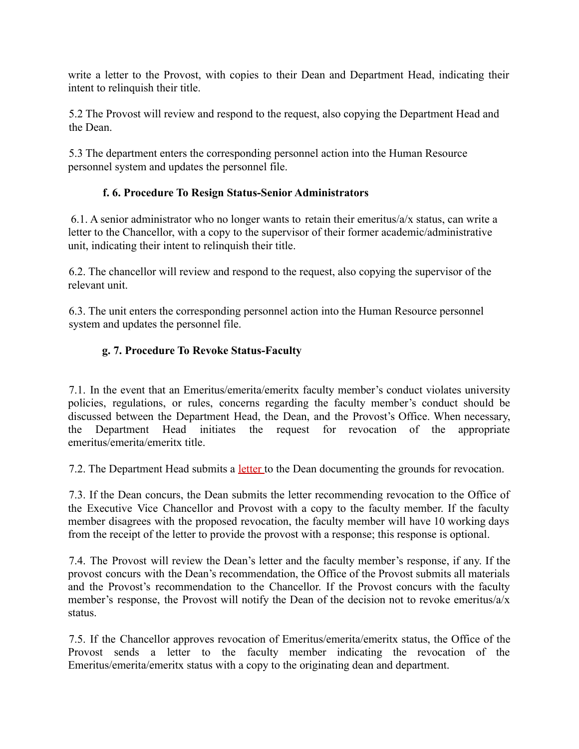write a letter to the Provost, with copies to their Dean and Department Head, indicating their intent to relinquish their title.

5.2 The Provost will review and respond to the request, also copying the Department Head and the Dean.

5.3 The department enters the corresponding personnel action into the Human Resource personnel system and updates the personnel file.

## **f. 6. Procedure To Resign Status-Senior Administrators**

6.1. A senior administrator who no longer wants to retain their emeritus/a/x status, can write a letter to the Chancellor, with a copy to the supervisor of their former academic/administrative unit, indicating their intent to relinquish their title.

6.2. The chancellor will review and respond to the request, also copying the supervisor of the relevant unit.

6.3. The unit enters the corresponding personnel action into the Human Resource personnel system and updates the personnel file.

## **g. 7. Procedure To Revoke Status-Faculty**

7.1. In the event that an Emeritus/emerita/emeritx faculty member's conduct violates university policies, regulations, or rules, concerns regarding the faculty member's conduct should be discussed between the Department Head, the Dean, and the Provost's Office. When necessary, the Department Head initiates the request for revocation of the appropriate emeritus/emerita/emeritx title.

7.2. The Department Head submits a letter to the Dean documenting the grounds for revocation.

7.3. If the Dean concurs, the Dean submits the letter recommending revocation to the Office of the Executive Vice Chancellor and Provost with a copy to the faculty member. If the faculty member disagrees with the proposed revocation, the faculty member will have 10 working days from the receipt of the letter to provide the provost with a response; this response is optional.

7.4. The Provost will review the Dean's letter and the faculty member's response, if any. If the provost concurs with the Dean's recommendation, the Office of the Provost submits all materials and the Provost's recommendation to the Chancellor. If the Provost concurs with the faculty member's response, the Provost will notify the Dean of the decision not to revoke emeritus/a/x status.

7.5. If the Chancellor approves revocation of Emeritus/emerita/emeritx status, the Office of the Provost sends a letter to the faculty member indicating the revocation of the Emeritus/emerita/emeritx status with a copy to the originating dean and department.